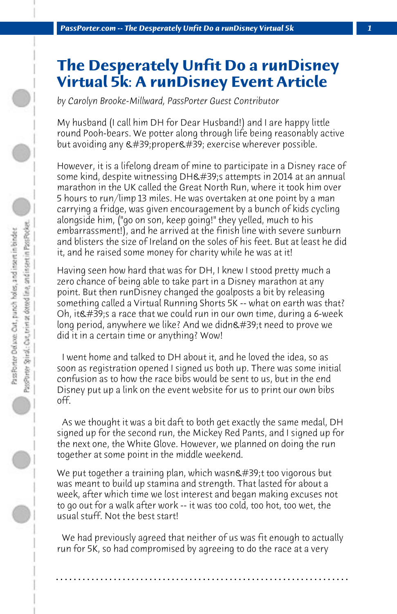## **The Desperately Unfit Do a runDisney Virtual 5k: A runDisney Event Article**

*by Carolyn Brooke-Millward, PassPorter Guest Contributor*

My husband (I call him DH for Dear Husband!) and I are happy little round Pooh-bears. We potter along through life being reasonably active but avoiding any  $\&\#39$ ; proper $\&\#39$ ; exercise wherever possible.

However, it is a lifelong dream of mine to participate in a Disney race of some kind, despite witnessing DH's attempts in 2014 at an annual marathon in the UK called the Great North Run, where it took him over 5 hours to run/limp 13 miles. He was overtaken at one point by a man carrying a fridge, was given encouragement by a bunch of kids cycling alongside him, ("go on son, keep going!" they yelled, much to his embarrassment!), and he arrived at the finish line with severe sunburn and blisters the size of Ireland on the soles of his feet. But at least he did it, and he raised some money for charity while he was at it!

Having seen how hard that was for DH, I knew I stood pretty much a zero chance of being able to take part in a Disney marathon at any point. But then runDisney changed the goalposts a bit by releasing something called a Virtual Running Shorts 5K -- what on earth was that? Oh, it  $\&\#39$ : s a race that we could run in our own time, during a 6-week long period, anywhere we like? And we didn $\&\#39$ ;t need to prove we did it in a certain time or anything? Wow!

 I went home and talked to DH about it, and he loved the idea, so as soon as registration opened I signed us both up. There was some initial confusion as to how the race bibs would be sent to us, but in the end Disney put up a link on the event website for us to print our own bibs off.

 As we thought it was a bit daft to both get exactly the same medal, DH signed up for the second run, the Mickey Red Pants, and I signed up for the next one, the White Glove. However, we planned on doing the run together at some point in the middle weekend.

We put together a training plan, which wasn't too vigorous but was meant to build up stamina and strength. That lasted for about a week, after which time we lost interest and began making excuses not to go out for a walk after work -- it was too cold, too hot, too wet, the usual stuff. Not the best start!

 We had previously agreed that neither of us was fit enough to actually run for 5K, so had compromised by agreeing to do the race at a very

**. . . . . . . . . . . . . . . . . . . . . . . . . . . . . . . . . . . . . . . . . . . . . . . . . . . . . . . . . . . . . . . . . .**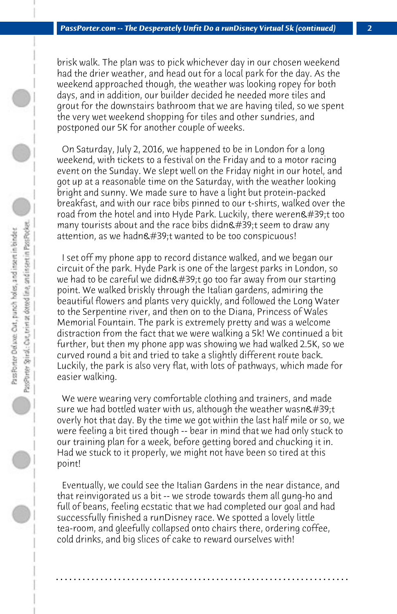brisk walk. The plan was to pick whichever day in our chosen weekend had the drier weather, and head out for a local park for the day. As the weekend approached though, the weather was looking ropey for both days, and in addition, our builder decided he needed more tiles and grout for the downstairs bathroom that we are having tiled, so we spent the very wet weekend shopping for tiles and other sundries, and postponed our 5K for another couple of weeks.

 On Saturday, July 2, 2016, we happened to be in London for a long weekend, with tickets to a festival on the Friday and to a motor racing event on the Sunday. We slept well on the Friday night in our hotel, and got up at a reasonable time on the Saturday, with the weather looking bright and sunny. We made sure to have a light but protein-packed breakfast, and with our race bibs pinned to our t-shirts, walked over the road from the hotel and into Hyde Park. Luckily, there weren $\&\#39$ ;t too many tourists about and the race bibs didn $'$ ;t seem to draw any attention, as we hadn't wanted to be too conspicuous!

 I set off my phone app to record distance walked, and we began our circuit of the park. Hyde Park is one of the largest parks in London, so we had to be careful we didn't go too far away from our starting point. We walked briskly through the Italian gardens, admiring the beautiful flowers and plants very quickly, and followed the Long Water to the Serpentine river, and then on to the Diana, Princess of Wales Memorial Fountain. The park is extremely pretty and was a welcome distraction from the fact that we were walking a 5k! We continued a bit further, but then my phone app was showing we had walked 2.5K, so we curved round a bit and tried to take a slightly different route back. Luckily, the park is also very flat, with lots of pathways, which made for easier walking.

 We were wearing very comfortable clothing and trainers, and made sure we had bottled water with us, although the weather wasn $\&$ #39;t overly hot that day. By the time we got within the last half mile or so, we were feeling a bit tired though -- bear in mind that we had only stuck to our training plan for a week, before getting bored and chucking it in. Had we stuck to it properly, we might not have been so tired at this point!

 Eventually, we could see the Italian Gardens in the near distance, and that reinvigorated us a bit -- we strode towards them all gung-ho and full of beans, feeling ecstatic that we had completed our goal and had successfully finished a runDisney race. We spotted a lovely little tea-room, and gleefully collapsed onto chairs there, ordering coffee, cold drinks, and big slices of cake to reward ourselves with!

**. . . . . . . . . . . . . . . . . . . . . . . . . . . . . . . . . . . . . . . . . . . . . . . . . . . . . . . . . . . . . . . . . .**